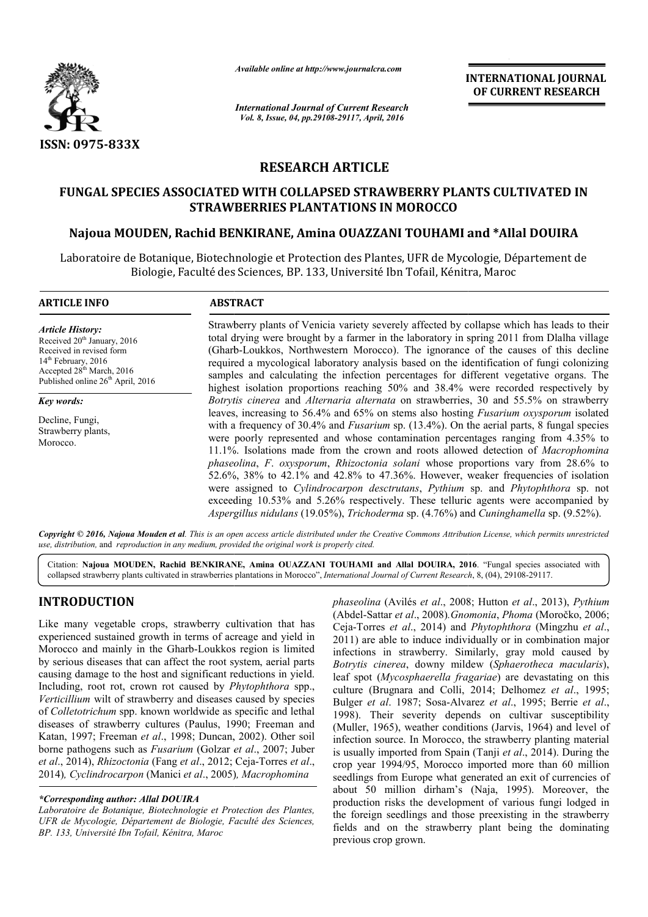

*Available online at http://www.journalcra.com*

*International Journal of Current Research Vol. 8, Issue, 04, pp.29108-29117, April, 2016*

**INTERNATIONAL JOURNAL OF CURRENT RESEARCH** 

# **RESEARCH ARTICLE**

# **FUNGAL SPECIES ASSOCIATED WITH COLLAPSED STRAWBERRY PLANTS CULTIVATED IN STRAWBERRIES PLANTATIONS IN MOROCCO Najoua MOUDEN, Rachid BENKIRANE, Amina OUAZZANI TOUHAMI and FUNGAL SPECIES ASSOCIATED WITH Rachid TOUHAMI and \*Allal DOUIRA**

Laboratoire de Botanique, Biotechnologie et Protection des Plantes, UFR de Mycologie, Département de Biologie, Faculté des Sciences, BP. 133, Université Ibn Tofail, Kénitra, Maroc Biologie,

#### **ARTICLE INFO ABSTRACT** Strawberry plants of Venicia variety severely affected by collapse which has leads to their total drying were brought by a farmer in the laboratory in spring 2011 from Dlalha village total drying were brought by a farmer in the laboratory in spring 2011 from Dlalha village<br>(Gharb-Loukkos, Northwestern Morocco). The ignorance of the causes of this decline required a mycological laboratory analysis based on the identification of fungi colonizing samples and calculating the infection percentages for different vegetative organs. The highest isolation proportions reaching 50% and 38.4% were recorded respectively by *Botrytis cinerea* and *Alternaria alternata* on strawberries, 30 30 and 55.5% on strawberry leaves, increasing to 56.4% and 65% on stems also hosting *Fusarium oxysporum* isolated with a frequency of 30.4% and *Fusarium* sp. (13.4%). On the aerial parts, 8 fungal species were poorly represented and whose contamination percentages ranging from 4.35% to 11.1%. Isolations made from the crown and roots allowed detection of *Macrophomina phaseolina* , *F*. *oxysporum*, *Rhizoctonia solani* whose proportions vary from 28.6% to  $52.6\%$ ,  $38\%$  to  $42.1\%$  and  $42.8\%$  to  $47.36\%$ . However, weaker frequencies of isolation 52.6%, 38% to 42.1% and 42.8% to 47.36%. However, weaker frequencies of isolation were assigned to *Cylindrocarpon desctrutans*, *Pythium* sp. and *Phytophthora* sp. not exceeding 10.53% and 5.26% respectively. These telluric agents were accompanied by *Aspergillus nidulans* (19.05%), *Trichoderma* sp. (4.76%) and *Cuninghamella* sp. (9.52%). *Article History:* Received 20<sup>th</sup> January, 2016 Received in revised form 14<sup>th</sup> February, 2016 Accepted 28<sup>th</sup> March, 2016 Published online 26<sup>th</sup> April, 2016 *Key words:* Decline, Fungi, Strawberry plants, Morocco.  $\overline{a}$

*Copyright © 2016, Najoua Mouden et al. This is an open access article distributed under the Creative Commons Att Attribution License, which ribution permits unrestricted use, distribution,* and *reproduction in any medium, provided the original work is properly cited.*

Citation: Najoua MOUDEN, Rachid BENKIRANE, Amina OUAZZANI TOUHAMI and Allal DOUIRA, 2016. "Fungal species associated with collapsed strawberry plants cultivated in strawberries plantations in Morocco", *International Journal of Current Research*, 8, (04), 29108-29117.

# **INTRODUCTION**

Like many vegetable crops, strawberry cultivation that has experienced sustained growth in terms of acreage and yield in Morocco and mainly in the Gharb-Loukkos region is limited Morocco and mainly in the Gharb-Loukkos region is limited<br>by serious diseases that can affect the root system, aerial parts causing damage to the host and significant reductions in yield. Including, root rot, crown rot caused by *Phytophthora* spp., *Verticillium* wilt of strawberry and diseases caused by species of *Colletotrichum* spp. known worldwide as specific and lethal diseases of strawberry cultures (Paulus, 1990; Freeman and Katan, 1997; Freeman *et al*., 1998; Duncan, 2002). Other soil borne pathogens such as *Fusarium* (Golzar *et al* ., 2007; Juber *et al.*, 2014), *Rhizoctonia* (Fang *et al.*, 2012; Ceja-Torres *et al.*, 2014)*, Cyclindrocarpon* (Manici *et al*., 2005) *, Macrophomina* 

#### *\*Corresponding author: Allal DOUIRA*

*Laboratoire de Botanique, Biotechnologie et Protection des Plantes, UFR de Mycologie, Département de Biologie, Faculté des Sciences, BP. 133, Université Ibn Tofail, Kénitra, Maroc*

*phaseolina* (Avilés *et al*., 2008; Hutton Hutton *et al*., 2013), *Pythium*  (Abdel-Sattar *et al*., 2008)*.Gnomonia Gnomonia*, *Phoma* (Moročko, 2006; Ceja-Torres *et al*., 2014) and *Phytophthora* (Mingzhu *et al*., 2011) are able to induce individually or in combination major infections in strawberry. Similarly, Similarly, gray mold caused by *Botrytis cinerea*, downy mildew ( *Sphaerotheca macularis*), leaf spot (*Mycosphaerella fragariae* ) are devastating on this culture (Brugnara and Colli, 2014; Delhomez et al., 1995; Bulger et al. 1987; Sosa-Alvarez et al., 1995; Berrie et al., 1998). Their severity depends on cultivar susceptibility (Muller, 1965), weather conditions (Jarvis, 1964) and level of infection source. In Morocco, the strawberry planting material is usually imported from Spain (Tanji *et al*., 2014). During the crop year 1994/95, Morocco imported more than 60 million seedlings from Europe what generated an exit of currencies of crop year 1994/95, Morocco imported more than 60 million seedlings from Europe what generated an exit of currencies of about 50 million dirham's (Naja, 1995). Moreover, the production risks the development of various fungi lodged in the foreign seedlings and those preexisting in the strawberry the foreign seedlings and those preexisting in the strawberry fields and on the strawberry plant being the dominating previous crop grown.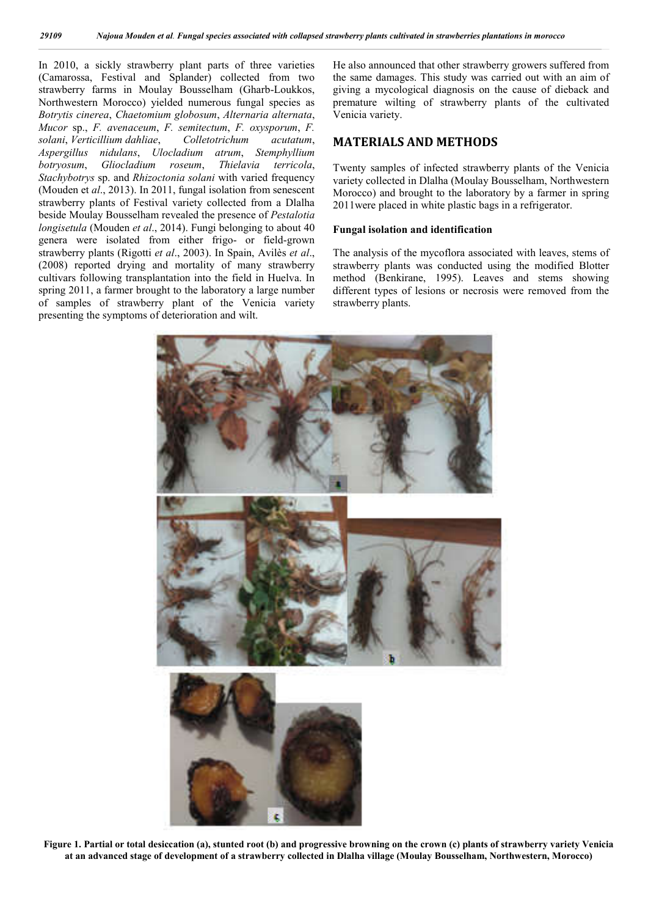In 2010, a sickly strawberry plant parts of three varieties (Camarossa, Festival and Splander) collected from two strawberry farms in Moulay Bousselham (Gharb-Loukkos, Northwestern Morocco) yielded numerous fungal species as *Botrytis cinerea*, *Chaetomium globosum*, *Alternaria alternata*, *Mucor* sp., *F. avenaceum*, *F. semitectum*, *F. oxysporum*, *F. solani*, *Verticillium dahliae*, *Colletotrichum acutatum*, *Aspergillus nidulans*, *Ulocladium atrum*, *Stemphyllium botryosum*, *Gliocladium roseum*, *Thielavia terricola*, *Stachybotrys* sp. and *Rhizoctonia solani* with varied frequency (Mouden et *al*., 2013). In 2011, fungal isolation from senescent strawberry plants of Festival variety collected from a Dlalha beside Moulay Bousselham revealed the presence of *Pestalotia longisetula* (Mouden *et al*., 2014). Fungi belonging to about 40 genera were isolated from either frigo- or field-grown strawberry plants (Rigotti *et al*., 2003). In Spain, Avilès *et al*., (2008) reported drying and mortality of many strawberry cultivars following transplantation into the field in Huelva. In spring 2011, a farmer brought to the laboratory a large number of samples of strawberry plant of the Venicia variety presenting the symptoms of deterioration and wilt.

He also announced that other strawberry growers suffered from the same damages. This study was carried out with an aim of giving a mycological diagnosis on the cause of dieback and premature wilting of strawberry plants of the cultivated Venicia variety.

# **MATERIALS AND METHODS**

Twenty samples of infected strawberry plants of the Venicia variety collected in Dlalha (Moulay Bousselham, Northwestern Morocco) and brought to the laboratory by a farmer in spring 2011were placed in white plastic bags in a refrigerator.

#### **Fungal isolation and identification**

The analysis of the mycoflora associated with leaves, stems of strawberry plants was conducted using the modified Blotter method (Benkirane, 1995). Leaves and stems showing different types of lesions or necrosis were removed from the strawberry plants.



Figure 1. Partial or total desiccation (a), stunted root (b) and progressive browning on the crown (c) plants of strawberry variety Venicia **at an advanced stage of development of a strawberry collected in Dlalha village (Moulay Bousselham, Northwestern, Morocco)**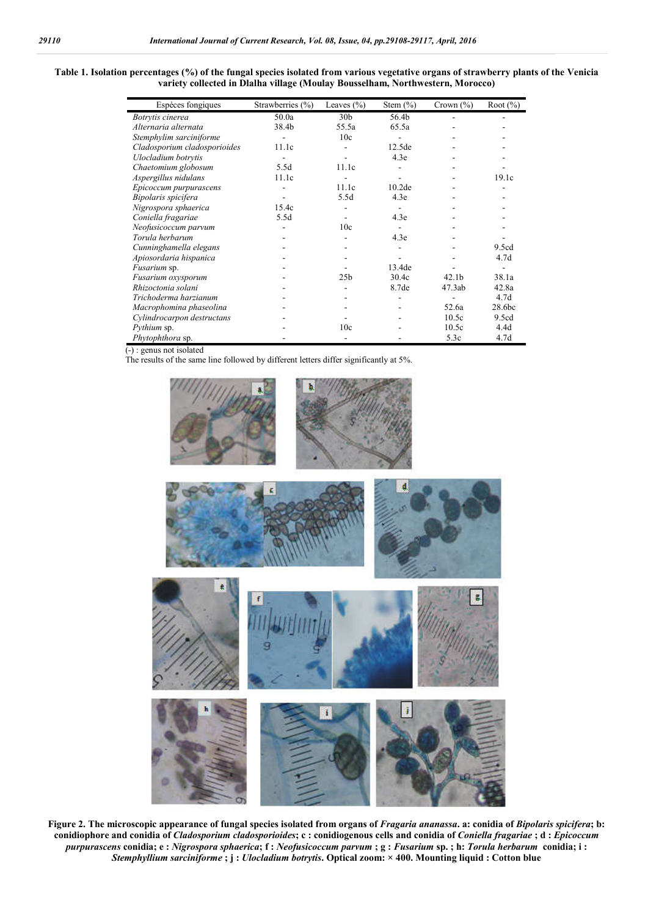#### **Table 1. Isolation percentages (%) of the fungal species isolated from various vegetative organs of strawberry plants of the Venicia variety collected in Dlalha village (Moulay Bousselham, Northwestern, Morocco)**

| Espèces fongiques            | Strawberries $(\% )$ | Leaves $(\% )$  | Stem $(\% )$       | Crown $(\% )$     | Root $(\%)$      |
|------------------------------|----------------------|-----------------|--------------------|-------------------|------------------|
| Botrytis cinerea             | 50.0a                | 30 <sub>b</sub> | 56.4b              |                   |                  |
| Alternaria alternata         | 38.4b                | 55.5a           | 65.5a              |                   |                  |
| Stemphylim sarciniforme      |                      | 10c             |                    |                   |                  |
| Cladosporium cladosporioides | 11.1c                |                 | 12.5de             |                   |                  |
| Ulocladium botrytis          |                      |                 | 4.3e               |                   |                  |
| Chaetomium globosum          | 5.5d                 | 11.1c           |                    |                   |                  |
| Aspergillus nidulans         | 11.1c                |                 |                    |                   | 19.1c            |
| Epicoccum purpurascens       |                      | 11.1c           | 10.2 <sub>de</sub> |                   |                  |
| Bipolaris spicifera          |                      | 5.5d            | 4.3e               |                   |                  |
| Nigrospora sphaerica         | 15.4c                |                 |                    |                   |                  |
| Coniella fragariae           | 5.5d                 |                 | 4.3e               |                   |                  |
| Neofusicoccum parvum         |                      | 10c             |                    |                   |                  |
| Torula herbarum              |                      |                 | 4.3e               |                   |                  |
| Cunninghamella elegans       |                      |                 |                    |                   | 9.5cd            |
| Apiosordaria hispanica       |                      |                 |                    |                   | 4.7 <sub>d</sub> |
| Fusarium sp.                 |                      |                 | 13.4de             |                   |                  |
| Fusarium oxysporum           |                      | 25 <sub>b</sub> | 30.4c              | 42.1 <sub>b</sub> | 38.1a            |
| Rhizoctonia solani           |                      |                 | 8.7de              | 47.3ab            | 42.8a            |
| Trichoderma harzianum        |                      |                 |                    |                   | 4.7 <sub>d</sub> |
| Macrophomina phaseolina      |                      |                 |                    | 52.6a             | 28.6bc           |
| Cylindrocarpon destructans   |                      |                 |                    | 10.5c             | 9.5cd            |
| Pythium sp.                  |                      | 10c             |                    | 10.5c             | 4.4d             |
| Phytophthora sp.             |                      |                 |                    | 5.3c              | 4.7d             |

(-) : genus not isolated

The results of the same line followed by different letters differ significantly at 5%.



**Figure 2. The microscopic appearance of fungal species isolated from organs of** *Fragaria ananassa***. a: conidia of** *Bipolaris spicifera***; b: conidiophore and conidia of** *Cladosporium cladosporioides***; c : conidiogenous cells and conidia of** *Coniella fragariae* **; d :** *Epicoccum*  purpurascens conidia; e : Nigrospora sphaerica; f : Neofusicoccum parvum ; g : Fusarium sp. ; h: Torula herbarum conidia; i : *Stemphyllium sarciniforme* **; j :** *Ulocladium botrytis***. Optical zoom: × 400. Mounting liquid : Cotton blue**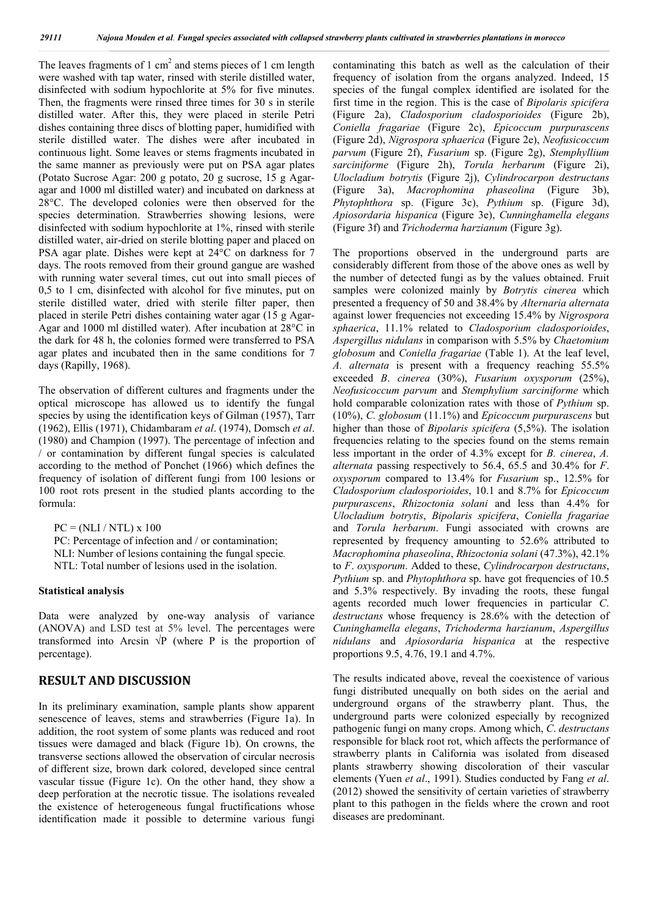The leaves fragments of 1 cm<sup>2</sup> and stems pieces of 1 cm length were washed with tap water, rinsed with sterile distilled water, disinfected with sodium hypochlorite at 5% for five minutes. Then, the fragments were rinsed three times for 30 s in sterile distilled water. After this, they were placed in sterile Petri dishes containing three discs of blotting paper, humidified with sterile distilled water. The dishes were after incubated in continuous light. Some leaves or stems fragments incubated in the same manner as previously were put on PSA agar plates (Potato Sucrose Agar: 200 g potato, 20 g sucrose, 15 g Agaragar and 1000 ml distilled water) and incubated on darkness at 28°C. The developed colonies were then observed for the species determination. Strawberries showing lesions, were disinfected with sodium hypochlorite at 1%, rinsed with sterile distilled water, air-dried on sterile blotting paper and placed on PSA agar plate. Dishes were kept at 24°C on darkness for 7 days. The roots removed from their ground gangue are washed with running water several times, cut out into small pieces of 0,5 to 1 cm, disinfected with alcohol for five minutes, put on sterile distilled water, dried with sterile filter paper, then placed in sterile Petri dishes containing water agar (15 g Agar-Agar and 1000 ml distilled water). After incubation at 28°C in the dark for 48 h, the colonies formed were transferred to PSA agar plates and incubated then in the same conditions for 7 days (Rapilly, 1968).

The observation of different cultures and fragments under the optical microscope has allowed us to identify the fungal species by using the identification keys of Gilman (1957), Tarr (1962), Ellis (1971), Chidambaram *et al*. (1974), Domsch *et al*. (1980) and Champion (1997). The percentage of infection and / or contamination by different fungal species is calculated according to the method of Ponchet (1966) which defines the frequency of isolation of different fungi from 100 lesions or 100 root rots present in the studied plants according to the formula:

 $PC = (NLI / NTL) \times 100$ PC: Percentage of infection and / or contamination; NLI: Number of lesions containing the fungal specie*.* NTL: Total number of lesions used in the isolation.

### **Statistical analysis**

Data were analyzed by one-way analysis of variance (ANOVA) and LSD test at 5% level. The percentages were transformed into Arcsin  $\sqrt{P}$  (where P is the proportion of percentage).

# **RESULT AND DISCUSSION**

In its preliminary examination, sample plants show apparent senescence of leaves, stems and strawberries (Figure 1a). In addition, the root system of some plants was reduced and root tissues were damaged and black (Figure 1b). On crowns, the transverse sections allowed the observation of circular necrosis of different size, brown dark colored, developed since central vascular tissue (Figure 1c). On the other hand, they show a deep perforation at the necrotic tissue. The isolations revealed the existence of heterogeneous fungal fructifications whose identification made it possible to determine various fungi

contaminating this batch as well as the calculation of their frequency of isolation from the organs analyzed. Indeed, 15 species of the fungal complex identified are isolated for the first time in the region. This is the case of *Bipolaris spicifera*  (Figure 2a), *Cladosporium cladosporioides* (Figure 2b), *Coniella fragariae* (Figure 2c), *Epicoccum purpurascens*  (Figure 2d), *Nigrospora sphaerica* (Figure 2e), *Neofusicoccum parvum* (Figure 2f), *Fusarium* sp. (Figure 2g), *Stemphyllium sarciniforme* (Figure 2h), *Torula herbarum* (Figure 2i), *Ulocladium botrytis* (Figure 2j), *Cylindrocarpon destructans* (Figure 3a), *Macrophomina phaseolina* (Figure 3b), *Phytophthora* sp. (Figure 3c), *Pythium* sp. (Figure 3d), *Apiosordaria hispanica* (Figure 3e), *Cunninghamella elegans* (Figure 3f) and *Trichoderma harzianum* (Figure 3g).

The proportions observed in the underground parts are considerably different from those of the above ones as well by the number of detected fungi as by the values obtained. Fruit samples were colonized mainly by *Botrytis cinerea* which presented a frequency of 50 and 38.4% by *Alternaria alternata* against lower frequencies not exceeding 15.4% by *Nigrospora sphaerica*, 11.1% related to *Cladosporium cladosporioides*, *Aspergillus nidulans* in comparison with 5.5% by *Chaetomium globosum* and *Coniella fragariae* (Table 1). At the leaf level, *A. alternata* is present with a frequency reaching 55.5% exceeded *B*. *cinerea* (30%), *Fusarium oxysporum* (25%), *Neofusicoccum parvum* and *Stemphylium sarciniforme* which hold comparable colonization rates with those of *Pythium* sp. (10%), *C. globosum* (11.1%) and *Epicoccum purpurascens* but higher than those of *Bipolaris spicifera* (5,5%). The isolation frequencies relating to the species found on the stems remain less important in the order of 4.3% except for *B. cinerea*, *A. alternata* passing respectively to 56.4, 65.5 and 30.4% for *F*. *oxysporum* compared to 13.4% for *Fusarium* sp., 12.5% for *Cladosporium cladosporioides*, 10.1 and 8.7% for *Epicoccum purpurascens*, *Rhizoctonia solani* and less than 4.4% for *Ulocladium botrytis*, *Bipolaris spicifera*, *Coniella fragariae* and *Torula herbarum*. Fungi associated with crowns are represented by frequency amounting to 52.6% attributed to *Macrophomina phaseolina*, *Rhizoctonia solani* (47.3%), 42.1% to *F*. *oxysporum*. Added to these, *Cylindrocarpon destructans*, *Pythium* sp. and *Phytophthora* sp. have got frequencies of 10.5 and 5.3% respectively. By invading the roots, these fungal agents recorded much lower frequencies in particular *C*. *destructans* whose frequency is 28.6% with the detection of *Cuninghamella elegans*, *Trichoderma harzianum*, *Aspergillus nidulans* and *Apiosordaria hispanica* at the respective proportions 9.5, 4.76, 19.1 and 4.7%.

The results indicated above, reveal the coexistence of various fungi distributed unequally on both sides on the aerial and underground organs of the strawberry plant. Thus, the underground parts were colonized especially by recognized pathogenic fungi on many crops. Among which, *C*. *destructans* responsible for black root rot, which affects the performance of strawberry plants in California was isolated from diseased plants strawberry showing discoloration of their vascular elements (Yuen *et al*., 1991). Studies conducted by Fang *et al*. (2012) showed the sensitivity of certain varieties of strawberry plant to this pathogen in the fields where the crown and root diseases are predominant.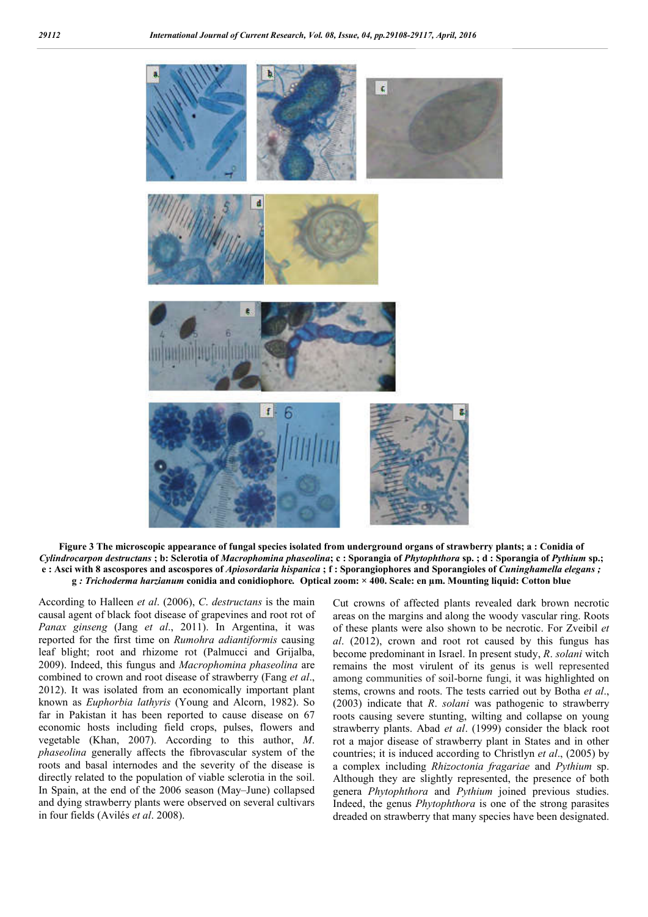

**Figure 3 The microscopic appearance of fungal species isolated from underground organs of strawberry plants; a : Conidia of**  *Cylindrocarpon destructans* **; b: Sclerotia of** *Macrophomina phaseolina***; c : Sporangia of** *Phytophthora* **sp. ; d : Sporangia of** *Pythium* **sp.; e : Asci with 8 ascospores and ascospores of** *Apiosordaria hispanica* **; f : Sporangiophores and Sporangioles of** *Cuninghamella elegans ;*  **g** *: Trichoderma harzianum* **conidia and conidiophore***.* **Optical zoom: × 400. Scale: en µm. Mounting liquid: Cotton blue**

According to Halleen *et al*. (2006), *C*. *destructans* is the main causal agent of black foot disease of grapevines and root rot of *Panax ginseng* (Jang *et al*., 2011). In Argentina, it was reported for the first time on *Rumohra adiantiformis* causing leaf blight; root and rhizome rot (Palmucci and Grijalba, 2009). Indeed, this fungus and *Macrophomina phaseolina* are combined to crown and root disease of strawberry (Fang *et al*., 2012). It was isolated from an economically important plant known as *Euphorbia lathyris* (Young and Alcorn, 1982). So far in Pakistan it has been reported to cause disease on 67 economic hosts including field crops, pulses, flowers and vegetable (Khan, 2007). According to this author, *M*. *phaseolina* generally affects the fibrovascular system of the roots and basal internodes and the severity of the disease is directly related to the population of viable sclerotia in the soil. In Spain, at the end of the 2006 season (May–June) collapsed and dying strawberry plants were observed on several cultivars in four fields (Avilés *et al*. 2008).

Cut crowns of affected plants revealed dark brown necrotic areas on the margins and along the woody vascular ring. Roots of these plants were also shown to be necrotic. For Zveibil *et al*. (2012), crown and root rot caused by this fungus has become predominant in Israel. In present study, *R*. *solani* witch remains the most virulent of its genus is well represented among communities of soil-borne fungi, it was highlighted on stems, crowns and roots. The tests carried out by Botha *et al*., (2003) indicate that *R*. *solani* was pathogenic to strawberry roots causing severe stunting, wilting and collapse on young strawberry plants. Abad *et al*. (1999) consider the black root rot a major disease of strawberry plant in States and in other countries; it is induced according to Christlyn *et al*., (2005) by a complex including *Rhizoctonia fragariae* and *Pythium* sp. Although they are slightly represented, the presence of both genera *Phytophthora* and *Pythium* joined previous studies. Indeed, the genus *Phytophthora* is one of the strong parasites dreaded on strawberry that many species have been designated.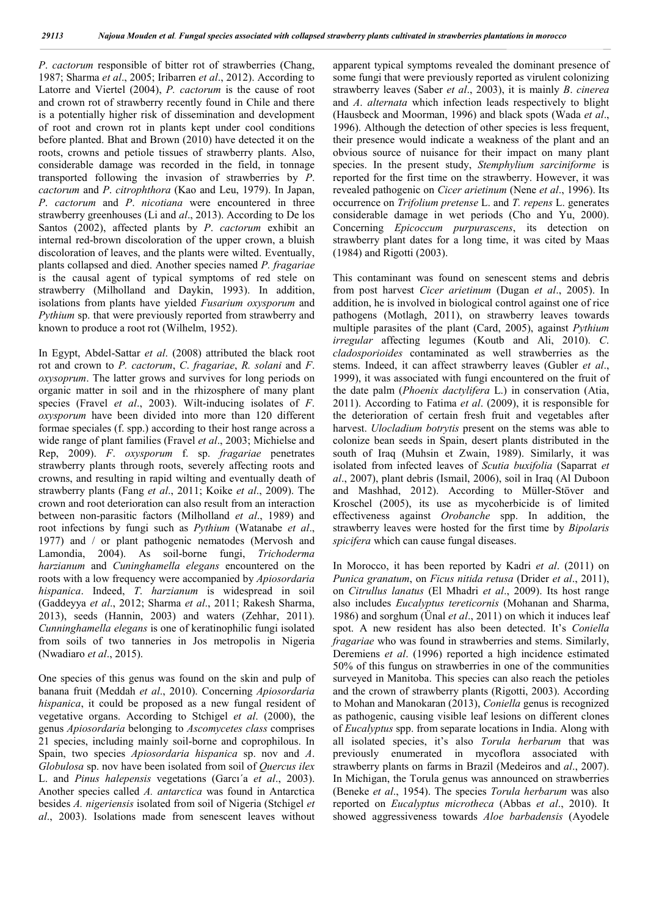*P*. *cactorum* responsible of bitter rot of strawberries (Chang, 1987; Sharma *et al*., 2005; Iribarren *et al*., 2012). According to Latorre and Viertel (2004), *P. cactorum* is the cause of root and crown rot of strawberry recently found in Chile and there is a potentially higher risk of dissemination and development of root and crown rot in plants kept under cool conditions before planted. Bhat and Brown (2010) have detected it on the roots, crowns and petiole tissues of strawberry plants. Also, considerable damage was recorded in the field, in tonnage transported following the invasion of strawberries by *P*. *cactorum* and *P*. *citrophthora* (Kao and Leu, 1979). In Japan, *P*. *cactorum* and *P*. *nicotiana* were encountered in three strawberry greenhouses (Li and *al*., 2013). According to De los Santos (2002), affected plants by *P*. *cactorum* exhibit an internal red-brown discoloration of the upper crown, a bluish discoloration of leaves, and the plants were wilted. Eventually, plants collapsed and died. Another species named *P. fragariae* is the causal agent of typical symptoms of red stele on strawberry (Milholland and Daykin, 1993). In addition, isolations from plants have yielded *Fusarium oxysporum* and *Pythium* sp. that were previously reported from strawberry and known to produce a root rot (Wilhelm, 1952).

In Egypt, Abdel-Sattar *et al*. (2008) attributed the black root rot and crown to *P. cactorum*, *C*. *fragariae*, *R. solani* and *F*. *oxysoprum*. The latter grows and survives for long periods on organic matter in soil and in the rhizosphere of many plant species (Fravel *et al*., 2003). Wilt-inducing isolates of *F*. *oxysporum* have been divided into more than 120 different formae speciales (f. spp.) according to their host range across a wide range of plant families (Fravel *et al*., 2003; Michielse and Rep, 2009). *F*. *oxysporum* f. sp. *fragariae* penetrates strawberry plants through roots, severely affecting roots and crowns, and resulting in rapid wilting and eventually death of strawberry plants (Fang *et al*., 2011; Koike *et al*., 2009). The crown and root deterioration can also result from an interaction between non-parasitic factors (Milholland *et al*., 1989) and root infections by fungi such as *Pythium* (Watanabe *et al*., 1977) and / or plant pathogenic nematodes (Mervosh and Lamondia, 2004). As soil-borne fungi, *Trichoderma harzianum* and *Cuninghamella elegans* encountered on the roots with a low frequency were accompanied by *Apiosordaria hispanica*. Indeed, *T*. *harzianum* is widespread in soil (Gaddeyya *et al*., 2012; Sharma *et al*., 2011; Rakesh Sharma, 2013), seeds (Hannin, 2003) and waters (Zehhar, 2011). *Cunninghamella elegans* is one of keratinophilic fungi isolated from soils of two tanneries in Jos metropolis in Nigeria (Nwadiaro *et al*., 2015).

One species of this genus was found on the skin and pulp of banana fruit (Meddah *et al*., 2010). Concerning *Apiosordaria hispanica*, it could be proposed as a new fungal resident of vegetative organs. According to Stchigel *et al*. (2000), the genus *Apiosordaria* belonging to *Ascomycetes class* comprises 21 species, including mainly soil-borne and coprophilous. In Spain, two species *Apiosordaria hispanica* sp. nov and *A*. *Globulosa* sp. nov have been isolated from soil of *Quercus ilex* L. and *Pinus halepensis* vegetations (Garcı´a *et al*., 2003). Another species called *A. antarctica* was found in Antarctica besides *A. nigeriensis* isolated from soil of Nigeria (Stchigel *et al*., 2003). Isolations made from senescent leaves without apparent typical symptoms revealed the dominant presence of some fungi that were previously reported as virulent colonizing strawberry leaves (Saber *et al*., 2003), it is mainly *B*. *cinerea* and *A*. *alternata* which infection leads respectively to blight (Hausbeck and Moorman, 1996) and black spots (Wada *et al*., 1996). Although the detection of other species is less frequent, their presence would indicate a weakness of the plant and an obvious source of nuisance for their impact on many plant species. In the present study, *Stemphylium sarciniforme* is reported for the first time on the strawberry. However, it was revealed pathogenic on *Cicer arietinum* (Nene *et al*., 1996). Its occurrence on *Trifolium pretense* L. and *T. repens* L. generates considerable damage in wet periods (Cho and Yu, 2000). Concerning *Epicoccum purpurascens*, its detection on strawberry plant dates for a long time, it was cited by Maas (1984) and Rigotti (2003).

This contaminant was found on senescent stems and debris from post harvest *Cicer arietinum* (Dugan *et al*., 2005). In addition, he is involved in biological control against one of rice pathogens (Motlagh, 2011), on strawberry leaves towards multiple parasites of the plant (Card, 2005), against *Pythium irregular* affecting legumes (Koutb and Ali, 2010). *C*. *cladosporioides* contaminated as well strawberries as the stems. Indeed, it can affect strawberry leaves (Gubler *et al*., 1999), it was associated with fungi encountered on the fruit of the date palm (*Phoenix dactylifera* L.) in conservation (Atia, 2011). According to Fatima *et al*. (2009), it is responsible for the deterioration of certain fresh fruit and vegetables after harvest. *Ulocladium botrytis* present on the stems was able to colonize bean seeds in Spain, desert plants distributed in the south of Iraq (Muhsin et Zwain, 1989). Similarly, it was isolated from infected leaves of *Scutia buxifolia* (Saparrat *et al*., 2007), plant debris (Ismail, 2006), soil in Iraq (Al Duboon and Mashhad, 2012). According to Müller-Stöver and Kroschel (2005), its use as mycoherbicide is of limited effectiveness against *Orobanche* spp. In addition, the strawberry leaves were hosted for the first time by *Bipolaris spicifera* which can cause fungal diseases.

In Morocco, it has been reported by Kadri *et al*. (2011) on *Punica granatum*, on *Ficus nitida retusa* (Drider *et al*., 2011), on *Citrullus lanatus* (El Mhadri *et al*., 2009). Its host range also includes *Eucalyptus tereticornis* (Mohanan and Sharma, 1986) and sorghum (Ünal *et al*., 2011) on which it induces leaf spot. A new resident has also been detected. It's *Coniella fragariae* who was found in strawberries and stems. Similarly, Deremiens *et al*. (1996) reported a high incidence estimated 50% of this fungus on strawberries in one of the communities surveyed in Manitoba. This species can also reach the petioles and the crown of strawberry plants (Rigotti, 2003). According to Mohan and Manokaran (2013), *Coniella* genus is recognized as pathogenic, causing visible leaf lesions on different clones of *Eucalyptus* spp. from separate locations in India. Along with all isolated species, it's also *Torula herbarum* that was previously enumerated in mycoflora associated with strawberry plants on farms in Brazil (Medeiros and *al*., 2007). In Michigan, the Torula genus was announced on strawberries (Beneke *et al*., 1954). The species *Torula herbarum* was also reported on *Eucalyptus microtheca* (Abbas *et al*., 2010). It showed aggressiveness towards *Aloe barbadensis* (Ayodele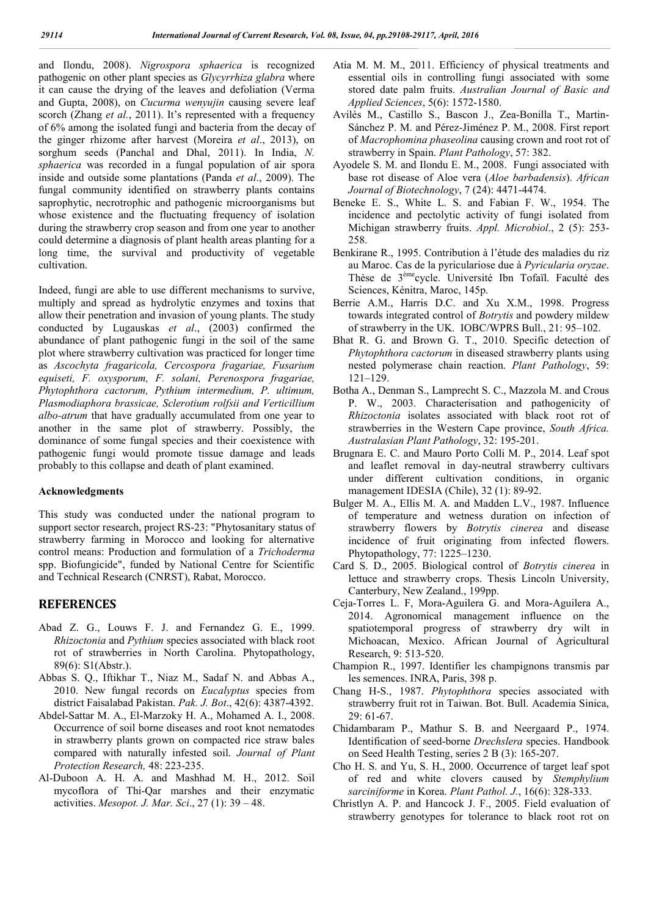and Ilondu, 2008). *Nigrospora sphaerica* is recognized pathogenic on other plant species as *Glycyrrhiza glabra* where it can cause the drying of the leaves and defoliation (Verma and Gupta, 2008), on *Cucurma wenyujin* causing severe leaf scorch (Zhang *et al.*, 2011). It's represented with a frequency of 6% among the isolated fungi and bacteria from the decay of the ginger rhizome after harvest (Moreira *et al*., 2013), on sorghum seeds (Panchal and Dhal, 2011). In India, *N. sphaerica* was recorded in a fungal population of air spora inside and outside some plantations (Panda *et al*., 2009). The fungal community identified on strawberry plants contains saprophytic, necrotrophic and pathogenic microorganisms but whose existence and the fluctuating frequency of isolation during the strawberry crop season and from one year to another could determine a diagnosis of plant health areas planting for a long time, the survival and productivity of vegetable cultivation.

Indeed, fungi are able to use different mechanisms to survive, multiply and spread as hydrolytic enzymes and toxins that allow their penetration and invasion of young plants. The study conducted by Lugauskas *et al*., (2003) confirmed the abundance of plant pathogenic fungi in the soil of the same plot where strawberry cultivation was practiced for longer time as *Ascochyta fragaricola, Cercospora fragariae, Fusarium equiseti, F. oxysporum, F. solani, Perenospora fragariae, Phytophthora cactorum, Pythium intermedium, P. ultimum, Plasmodiaphora brassicae, Sclerotium rolfsii and Verticillium albo-atrum* that have gradually accumulated from one year to another in the same plot of strawberry. Possibly, the dominance of some fungal species and their coexistence with pathogenic fungi would promote tissue damage and leads probably to this collapse and death of plant examined.

#### **Acknowledgments**

This study was conducted under the national program to support sector research, project RS-23: "Phytosanitary status of strawberry farming in Morocco and looking for alternative control means: Production and formulation of a *Trichoderma* spp. Biofungicide", funded by National Centre for Scientific and Technical Research (CNRST), Rabat, Morocco.

# **REFERENCES**

- Abad Z. G., Louws F. J. and Fernandez G. E., 1999. *Rhizoctonia* and *Pythium* species associated with black root rot of strawberries in North Carolina. Phytopathology, 89(6): S1(Abstr.).
- Abbas S. Q., Iftikhar T., Niaz M., Sadaf N. and Abbas A., 2010. New fungal records on *Eucalyptus* species from district Faisalabad Pakistan. *Pak. J. Bot*., 42(6): 4387-4392.
- Abdel-Sattar M. A., El-Marzoky H. A., Mohamed A. I., 2008. Occurrence of soil borne diseases and root knot nematodes in strawberry plants grown on compacted rice straw bales compared with naturally infested soil. *Journal of Plant Protection Research,* 48: 223-235.
- Al-Duboon A. H. A. and Mashhad M. H., 2012. Soil mycoflora of Thi-Qar marshes and their enzymatic activities. *Mesopot. J. Mar. Sci*., 27 (1): 39 – 48.
- Atia M. M. M., 2011. Efficiency of physical treatments and essential oils in controlling fungi associated with some stored date palm fruits. *Australian Journal of Basic and Applied Sciences*, 5(6): 1572-1580.
- Avilés M., Castillo S., Bascon J., Zea-Bonilla T., Martin-Sánchez P. M. and Pérez-Jiménez P. M., 2008. First report of *Macrophomina phaseolina* causing crown and root rot of strawberry in Spain. *Plant Pathology*, 57: 382.
- Ayodele S. M. and Ilondu E. M., 2008. Fungi associated with base rot disease of Aloe vera (*Aloe barbadensis*). *African Journal of Biotechnology*, 7 (24): 4471-4474.
- Beneke E. S., White L. S. and Fabian F. W., 1954. The incidence and pectolytic activity of fungi isolated from Michigan strawberry fruits. *Appl. Microbiol*., 2 (5): 253- 258.
- Benkirane R., 1995. Contribution à l'étude des maladies du riz au Maroc. Cas de la pyriculariose due à *Pyricularia oryzae*. Thèse de 3<sup>ème</sup>cycle. Université Ibn Tofaïl. Faculté des Sciences, Kénitra, Maroc, 145p.
- Berrie A.M., Harris D.C. and Xu X.M., 1998. Progress towards integrated control of *Botrytis* and powdery mildew of strawberry in the UK. IOBC/WPRS Bull., 21: 95–102.
- Bhat R. G. and Brown G. T., 2010. Specific detection of *Phytophthora cactorum* in diseased strawberry plants using nested polymerase chain reaction. *Plant Pathology*, 59: 121–129.
- Botha A., Denman S., Lamprecht S. C., Mazzola M. and Crous P. W., 2003. Characterisation and pathogenicity of *Rhizoctonia* isolates associated with black root rot of strawberries in the Western Cape province, *South Africa. Australasian Plant Pathology*, 32: 195-201.
- Brugnara E. C. and Mauro Porto Colli M. P., 2014. Leaf spot and leaflet removal in day-neutral strawberry cultivars under different cultivation conditions, in organic management IDESIA (Chile), 32 (1): 89-92.
- Bulger M. A., Ellis M. A. and Madden L.V., 1987. Influence of temperature and wetness duration on infection of strawberry flowers by *Botrytis cinerea* and disease incidence of fruit originating from infected flowers. Phytopathology, 77: 1225–1230.
- Card S. D., 2005. Biological control of *Botrytis cinerea* in lettuce and strawberry crops. Thesis Lincoln University, Canterbury, New Zealand., 199pp.
- Ceja-Torres L. F, Mora-Aguilera G. and Mora-Aguilera A., 2014. Agronomical management influence on the spatiotemporal progress of strawberry dry wilt in Michoacan, Mexico. African Journal of Agricultural Research, 9: 513-520.
- Champion R., 1997. Identifier les champignons transmis par les semences. INRA, Paris, 398 p.
- Chang H-S., 1987. *Phytophthora* species associated with strawberry fruit rot in Taiwan. Bot. Bull. Academia Sinica, 29: 61-67.
- Chidambaram P., Mathur S. B. and Neergaard P., 1974. Identification of seed-borne *Drechslera* species. Handbook on Seed Health Testing, series 2 B (3): 165-207.
- Cho H. S. and Yu, S. H., 2000. Occurrence of target leaf spot of red and white clovers caused by *Stemphylium sarciniforme* in Korea. *Plant Pathol. J.*, 16(6): 328-333.
- Christlyn A. P. and Hancock J. F., 2005. Field evaluation of strawberry genotypes for tolerance to black root rot on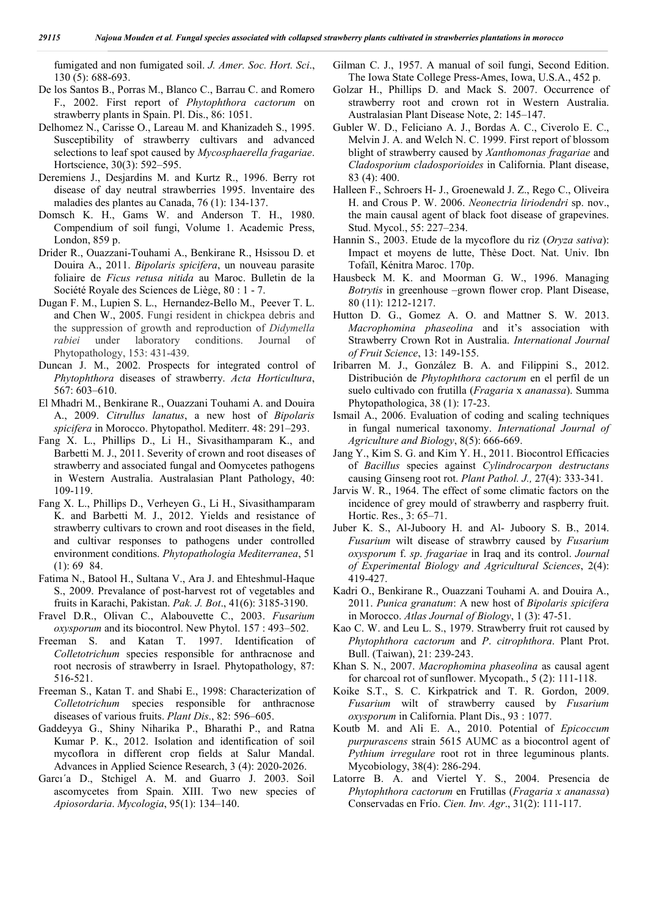fumigated and non fumigated soil. *J. Amer. Soc. Hort. Sci*., 130 (5): 688-693.

- De los Santos B., Porras M., Blanco C., Barrau C. and Romero F., 2002. First report of *Phytophthora cactorum* on strawberry plants in Spain. Pl. Dis., 86: 1051.
- Delhomez N., Carisse O., Lareau M. and Khanizadeh S., 1995. Susceptibility of strawberry cultivars and advanced selections to leaf spot caused by *Mycosphaerella fragariae*. Hortscience, 30(3): 592–595.
- Deremiens J., Desjardins M. and Kurtz R., 1996. Berry rot disease of day neutral strawberries 1995. lnventaire des maladies des plantes au Canada, 76 (1): 134-137.
- Domsch K. H., Gams W. and Anderson T. H., 1980. Compendium of soil fungi, Volume 1. Academic Press, London, 859 p.
- Drider R., Ouazzani-Touhami A., Benkirane R., Hsissou D. et Douira A., 2011. *Bipolaris spicifera*, un nouveau parasite foliaire de *Ficus retusa nitida* au Maroc. Bulletin de la Société Royale des Sciences de Liège, 80 : 1 - 7.
- Dugan F. M., Lupien S. L., Hernandez-Bello M., Peever T. L. and Chen W., 2005. Fungi resident in chickpea debris and the suppression of growth and reproduction of *Didymella rabiei* under laboratory conditions. Journal of Phytopathology, 153: 431-439.
- Duncan J. M., 2002. Prospects for integrated control of *Phytophthora* diseases of strawberry. *Acta Horticultura*, 567: 603–610.
- El Mhadri M., Benkirane R., Ouazzani Touhami A. and Douira A., 2009. *Citrullus lanatus*, a new host of *Bipolaris spicifera* in Morocco. Phytopathol. Mediterr. 48: 291–293.
- Fang X. L., Phillips D., Li H., Sivasithamparam K., and Barbetti M. J., 2011. Severity of crown and root diseases of strawberry and associated fungal and Oomycetes pathogens in Western Australia. Australasian Plant Pathology, 40: 109-119.
- Fang X. L., Phillips D., Verheyen G., Li H., Sivasithamparam K. and Barbetti M. J., 2012. Yields and resistance of strawberry cultivars to crown and root diseases in the field, and cultivar responses to pathogens under controlled environment conditions. *Phytopathologia Mediterranea*, 51 (1): 69 84.
- Fatima N., Batool H., Sultana V., Ara J. and Ehteshmul-Haque S., 2009. Prevalance of post-harvest rot of vegetables and fruits in Karachi, Pakistan. *Pak. J. Bot*., 41(6): 3185-3190.
- Fravel D.R., Olivan C., Alabouvette C., 2003. *Fusarium oxysporum* and its biocontrol. New Phytol. 157 : 493–502.
- Freeman S. and Katan T. 1997. Identification of *Colletotrichum* species responsible for anthracnose and root necrosis of strawberry in Israel. Phytopathology, 87: 516-521.
- Freeman S., Katan T. and Shabi E., 1998: Characterization of *Colletotrichum* species responsible for anthracnose diseases of various fruits. *Plant Dis*., 82: 596–605.
- Gaddeyya G., Shiny Niharika P., Bharathi P., and Ratna Kumar P. K., 2012. Isolation and identification of soil mycoflora in different crop fields at Salur Mandal. Advances in Applied Science Research, 3 (4): 2020-2026.
- Garcı´a D., Stchigel A. M. and Guarro J. 2003. Soil ascomycetes from Spain. XIII. Two new species of *Apiosordaria*. *Mycologia*, 95(1): 134–140.
- Gilman C. J., 1957. A manual of soil fungi, Second Edition. The Iowa State College Press-Ames, Iowa, U.S.A., 452 p.
- Golzar H., Phillips D. and Mack S. 2007. Occurrence of strawberry root and crown rot in Western Australia. Australasian Plant Disease Note, 2: 145–147.
- Gubler W. D., Feliciano A. J., Bordas A. C., Civerolo E. C., Melvin J. A. and Welch N. C. 1999. First report of blossom blight of strawberry caused by *Xanthomonas fragariae* and *Cladosporium cladosporioides* in California. Plant disease, 83 (4): 400.
- Halleen F., Schroers H- J., Groenewald J. Z., Rego C., Oliveira H. and Crous P. W. 2006. *Neonectria liriodendri* sp. nov., the main causal agent of black foot disease of grapevines. Stud. Mycol., 55: 227–234.
- Hannin S., 2003. Etude de la mycoflore du riz (*Oryza sativa*): Impact et moyens de lutte, Thèse Doct. Nat. Univ. Ibn Tofaïl, Kénitra Maroc. 170p.
- Hausbeck M. K. and Moorman G. W., 1996. Managing *Botrytis* in greenhouse –grown flower crop. Plant Disease, 80 (11): 1212-1217.
- Hutton D. G., Gomez A. O. and Mattner S. W. 2013. *Macrophomina phaseolina* and it's association with Strawberry Crown Rot in Australia. *International Journal of Fruit Science*, 13: 149-155.
- Iribarren M. J., González B. A. and Filippini S., 2012. Distribución de *Phytophthora cactorum* en el perfil de un suelo cultivado con frutilla (*Fragaria* x *ananassa*). Summa Phytopathologica, 38 (1): 17-23.
- Ismail A., 2006. Evaluation of coding and scaling techniques in fungal numerical taxonomy. *International Journal of Agriculture and Biology*, 8(5): 666-669.
- Jang Y., Kim S. G. and Kim Y. H., 2011. Biocontrol Efficacies of *Bacillus* species against *Cylindrocarpon destructans* causing Ginseng root rot. *Plant Pathol. J.,* 27(4): 333-341.
- Jarvis W. R., 1964. The effect of some climatic factors on the incidence of grey mould of strawberry and raspberry fruit. Hortic. Res., 3: 65–71.
- Juber K. S., Al-Juboory H. and Al- Juboory S. B., 2014. *Fusarium* wilt disease of strawbrry caused by *Fusarium oxysporum* f. *sp*. *fragariae* in Iraq and its control. *Journal of Experimental Biology and Agricultural Sciences*, 2(4): 419-427.
- Kadri O., Benkirane R., Ouazzani Touhami A. and Douira A., 2011. *Punica granatum*: A new host of *Bipolaris spicifera*  in Morocco. *Atlas Journal of Biology*, 1 (3): 47-51.
- Kao C. W. and Leu L. S., 1979. Strawberry fruit rot caused by *Phytophthora cactorum* and *P*. *citrophthora*. Plant Prot. Bull. (Taiwan), 21: 239-243.
- Khan S. N., 2007. *Macrophomina phaseolina* as causal agent for charcoal rot of sunflower. Mycopath., 5 (2): 111-118.
- Koike S.T., S. C. Kirkpatrick and T. R. Gordon, 2009. *Fusarium* wilt of strawberry caused by *Fusarium oxysporum* in California. Plant Dis., 93 : 1077.
- Koutb M. and Ali E. A., 2010. Potential of *Epicoccum purpurascens* strain 5615 AUMC as a biocontrol agent of *Pythium irregulare* root rot in three leguminous plants. Mycobiology, 38(4): 286-294.
- Latorre B. A. and Viertel Y. S., 2004. Presencia de *Phytophthora cactorum* en Frutillas (*Fragaria x ananassa*) Conservadas en Frío. *Cien. Inv. Agr*., 31(2): 111-117.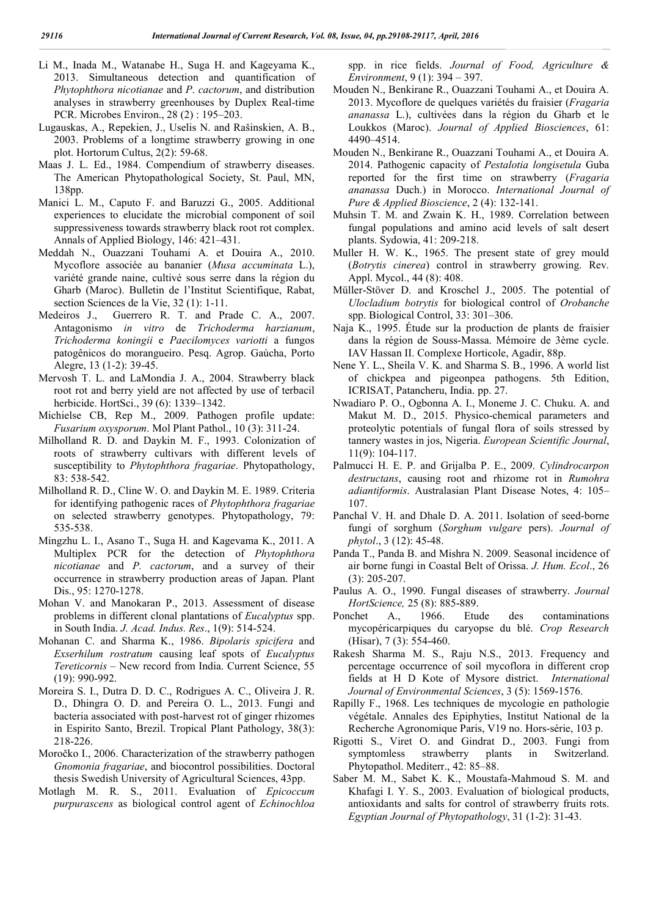- Li M., Inada M., Watanabe H., Suga H. and Kageyama K., 2013. Simultaneous detection and quantification of *Phytophthora nicotianae* and *P*. *cactorum*, and distribution analyses in strawberry greenhouses by Duplex Real-time PCR. Microbes Environ., 28 (2) : 195–203.
- Lugauskas, A., Repekien, J., Uselis N. and Rašinskien, A. B., 2003. Problems of a longtime strawberry growing in one plot. Hortorum Cultus, 2(2): 59-68.
- Maas J. L. Ed., 1984. Compendium of strawberry diseases. The American Phytopathological Society, St. Paul, MN, 138pp.
- Manici L. M., Caputo F. and Baruzzi G., 2005. Additional experiences to elucidate the microbial component of soil suppressiveness towards strawberry black root rot complex. Annals of Applied Biology, 146: 421–431.
- Meddah N., Ouazzani Touhami A. et Douira A., 2010. Mycoflore associée au bananier (*Musa accuminata* L.), variété grande naine, cultivé sous serre dans la région du Gharb (Maroc). Bulletin de l'Institut Scientifique, Rabat, section Sciences de la Vie, 32 (1): 1-11.
- Medeiros J., Guerrero R. T. and Prade C. A., 2007. Antagonismo *in vitro* de *Trichoderma harzianum*, *Trichoderma koningii* e *Paecilomyces variotti* a fungos patogênicos do morangueiro. Pesq. Agrop. Gaúcha, Porto Alegre, 13 (1-2): 39-45.
- Mervosh T. L. and LaMondia J. A., 2004. Strawberry black root rot and berry yield are not affected by use of terbacil herbicide. HortSci., 39 (6): 1339–1342.
- Michielse CB, Rep M., 2009. Pathogen profile update: *Fusarium oxysporum*. Mol Plant Pathol., 10 (3): 311-24.
- Milholland R. D. and Daykin M. F., 1993. Colonization of roots of strawberry cultivars with different levels of susceptibility to *Phytophthora fragariae*. Phytopathology, 83: 538-542.
- Milholland R. D., Cline W. O. and Daykin M. E. 1989. Criteria for identifying pathogenic races of *Phytophthora fragariae* on selected strawberry genotypes. Phytopathology, 79: 535-538.
- Mingzhu L. I., Asano T., Suga H. and Kagevama K., 2011. A Multiplex PCR for the detection of *Phytophthora nicotianae* and *P. cactorum*, and a survey of their occurrence in strawberry production areas of Japan. Plant Dis., 95: 1270-1278.
- Mohan V. and Manokaran P., 2013. Assessment of disease problems in different clonal plantations of *Eucalyptus* spp. in South India. *J. Acad. Indus. Res*., 1(9): 514-524.
- Mohanan C. and Sharma K., 1986. *Bipolaris spicifera* and *Exserhilum rostratum* causing leaf spots of *Eucalyptus Tereticornis* – New record from India. Current Science, 55 (19): 990-992.
- Moreira S. I., Dutra D. D. C., Rodrigues A. C., Oliveira J. R. D., Dhingra O. D. and Pereira O. L., 2013. Fungi and bacteria associated with post-harvest rot of ginger rhizomes in Espirito Santo, Brezil. Tropical Plant Pathology, 38(3): 218-226.
- Moročko I., 2006. Characterization of the strawberry pathogen *Gnomonia fragariae*, and biocontrol possibilities. Doctoral thesis Swedish University of Agricultural Sciences, 43pp.
- Motlagh M. R. S., 2011. Evaluation of *Epicoccum purpurascens* as biological control agent of *Echinochloa*

spp. in rice fields. *Journal of Food, Agriculture & Environment*, 9 (1): 394 – 397.

- Mouden N., Benkirane R., Ouazzani Touhami A., et Douira A. 2013. Mycoflore de quelques variétés du fraisier (*Fragaria ananassa* L.), cultivées dans la région du Gharb et le Loukkos (Maroc). *Journal of Applied Biosciences*, 61: 4490–4514.
- Mouden N., Benkirane R., Ouazzani Touhami A., et Douira A. 2014. Pathogenic capacity of *Pestalotia longisetula* Guba reported for the first time on strawberry (*Fragaria ananassa* Duch.) in Morocco. *International Journal of Pure & Applied Bioscience*, 2 (4): 132-141.
- Muhsin T. M. and Zwain K. H., 1989. Correlation between fungal populations and amino acid levels of salt desert plants. Sydowia, 41: 209-218.
- Muller H. W. K., 1965. The present state of grey mould (*Botrytis cinerea*) control in strawberry growing. Rev. Appl. Mycol., 44 (8): 408.
- Müller-Stöver D. and Kroschel J., 2005. The potential of *Ulocladium botrytis* for biological control of *Orobanche*  spp. Biological Control, 33: 301–306.
- Naja K., 1995. Étude sur la production de plants de fraisier dans la région de Souss-Massa. Mémoire de 3ème cycle. IAV Hassan II. Complexe Horticole, Agadir, 88p.
- Nene Y. L., Sheila V. K. and Sharma S. B., 1996. A world list of chickpea and pigeonpea pathogens. 5th Edition, ICRISAT, Patancheru, India. pp. 27.
- Nwadiaro P. O., Ogbonna A. I., Moneme J. C. Chuku. A. and Makut M. D., 2015. Physico-chemical parameters and proteolytic potentials of fungal flora of soils stressed by tannery wastes in jos, Nigeria. *European Scientific Journal*, 11(9): 104-117.
- Palmucci H. E. P. and Grijalba P. E., 2009. *Cylindrocarpon destructans*, causing root and rhizome rot in *Rumohra adiantiformis*. Australasian Plant Disease Notes, 4: 105– 107.
- Panchal V. H. and Dhale D. A. 2011. Isolation of seed-borne fungi of sorghum (*Sorghum vulgare* pers). *Journal of phytol*., 3 (12): 45-48.
- Panda T., Panda B. and Mishra N. 2009. Seasonal incidence of air borne fungi in Coastal Belt of Orissa. *J. Hum. Ecol*., 26 (3): 205-207.
- Paulus A. O., 1990. Fungal diseases of strawberry. *Journal HortScience,* 25 (8): 885-889.
- Ponchet A., 1966. Etude des contaminations mycopéricarpiques du caryopse du blé. *Crop Research* (Hisar), 7 (3): 554-460.
- Rakesh Sharma M. S., Raju N.S., 2013. Frequency and percentage occurrence of soil mycoflora in different crop fields at H D Kote of Mysore district. *International Journal of Environmental Sciences*, 3 (5): 1569-1576.
- Rapilly F., 1968. Les techniques de mycologie en pathologie végétale. Annales des Epiphyties, Institut National de la Recherche Agronomique Paris, V19 no. Hors-série, 103 p.
- Rigotti S., Viret O. and Gindrat D., 2003. Fungi from symptomless strawberry plants in Switzerland. Phytopathol. Mediterr., 42: 85–88.
- Saber M. M., Sabet K. K., Moustafa-Mahmoud S. M. and Khafagi I. Y. S., 2003. Evaluation of biological products, antioxidants and salts for control of strawberry fruits rots. *Egyptian Journal of Phytopathology*, 31 (1-2): 31-43.